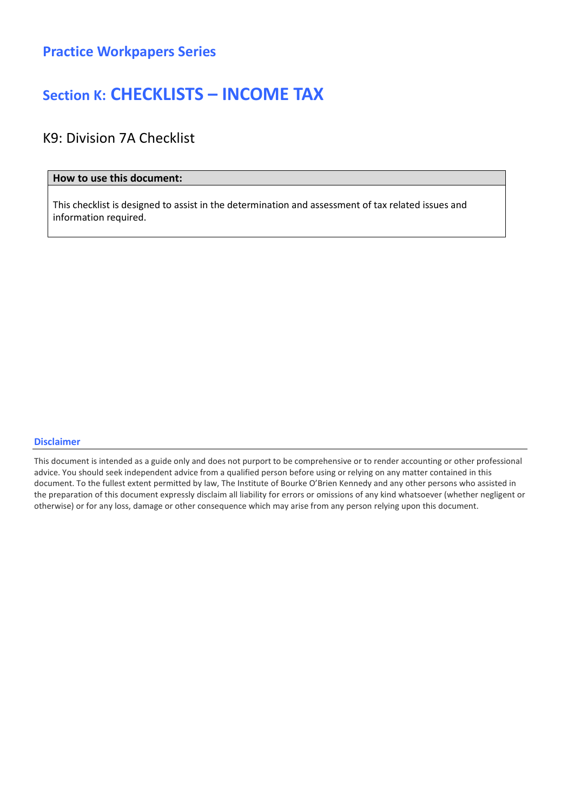### Section K: CHECKLISTS – INCOME TAX

### K9: Division 7A Checklist

#### How to use this document:

This checklist is designed to assist in the determination and assessment of tax related issues and information required.

#### Disclaimer

This document is intended as a guide only and does not purport to be comprehensive or to render accounting or other professional advice. You should seek independent advice from a qualified person before using or relying on any matter contained in this document. To the fullest extent permitted by law, The Institute of Bourke O'Brien Kennedy and any other persons who assisted in the preparation of this document expressly disclaim all liability for errors or omissions of any kind whatsoever (whether negligent or otherwise) or for any loss, damage or other consequence which may arise from any person relying upon this document.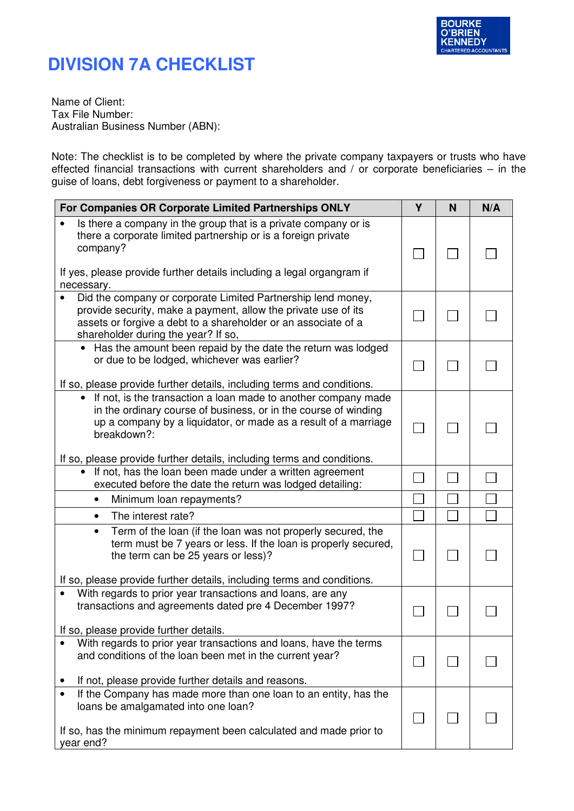

## **DIVISION 7A CHECKLIST**

Name of Client: Tax File Number: Australian Business Number (ABN):

Note: The checklist is to be completed by where the private company taxpayers or trusts who have effected financial transactions with current shareholders and / or corporate beneficiaries – in the guise of loans, debt forgiveness or payment to a shareholder.

| For Companies OR Corporate Limited Partnerships ONLY                                                                                                                                                                                                                                                       | Y | N | N/A |
|------------------------------------------------------------------------------------------------------------------------------------------------------------------------------------------------------------------------------------------------------------------------------------------------------------|---|---|-----|
| Is there a company in the group that is a private company or is<br>there a corporate limited partnership or is a foreign private<br>company?                                                                                                                                                               |   |   |     |
| If yes, please provide further details including a legal organgram if<br>necessary.                                                                                                                                                                                                                        |   |   |     |
| Did the company or corporate Limited Partnership lend money,<br>provide security, make a payment, allow the private use of its<br>assets or forgive a debt to a shareholder or an associate of a<br>shareholder during the year? If so,                                                                    |   |   |     |
| • Has the amount been repaid by the date the return was lodged<br>or due to be lodged, whichever was earlier?<br>If so, please provide further details, including terms and conditions.                                                                                                                    |   |   |     |
| If not, is the transaction a loan made to another company made<br>$\bullet$<br>in the ordinary course of business, or in the course of winding<br>up a company by a liquidator, or made as a result of a marriage<br>breakdown?:<br>If so, please provide further details, including terms and conditions. |   |   |     |
| If not, has the loan been made under a written agreement<br>executed before the date the return was lodged detailing:                                                                                                                                                                                      |   |   |     |
| Minimum loan repayments?<br>$\bullet$                                                                                                                                                                                                                                                                      |   |   |     |
| The interest rate?<br>$\bullet$                                                                                                                                                                                                                                                                            |   |   |     |
| Term of the loan (if the loan was not properly secured, the<br>$\bullet$<br>term must be 7 years or less. If the loan is properly secured,<br>the term can be 25 years or less)?                                                                                                                           |   |   |     |
| If so, please provide further details, including terms and conditions.                                                                                                                                                                                                                                     |   |   |     |
| With regards to prior year transactions and loans, are any<br>transactions and agreements dated pre 4 December 1997?                                                                                                                                                                                       |   |   |     |
| If so, please provide further details.                                                                                                                                                                                                                                                                     |   |   |     |
| With regards to prior year transactions and loans, have the terms<br>and conditions of the loan been met in the current year?                                                                                                                                                                              |   |   |     |
| If not, please provide further details and reasons.                                                                                                                                                                                                                                                        |   |   |     |
| If the Company has made more than one loan to an entity, has the<br>loans be amalgamated into one loan?<br>If so, has the minimum repayment been calculated and made prior to<br>year end?                                                                                                                 |   |   |     |